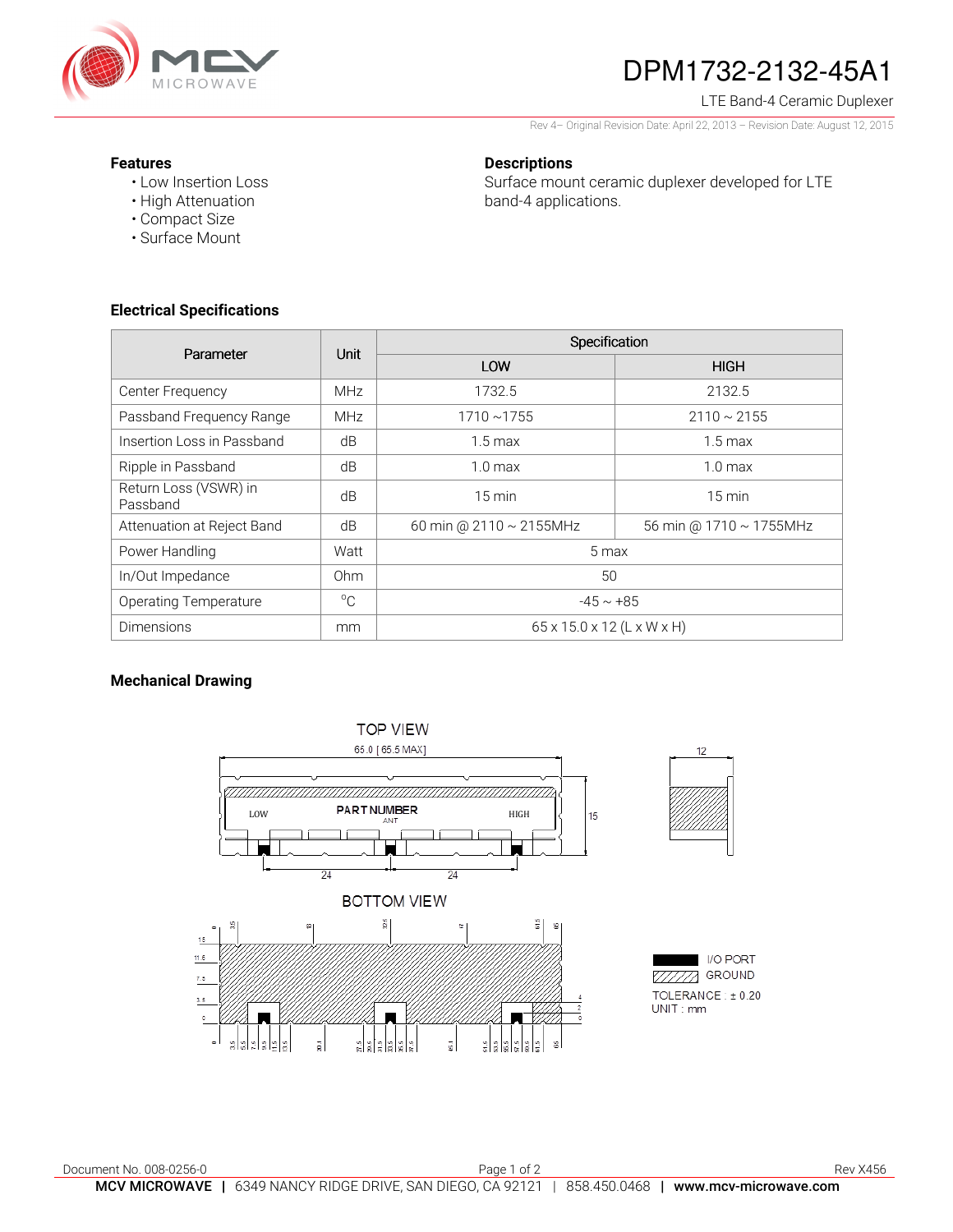

# DPM1732-2132-45A1

## LTE Band-4 Ceramic Duplexer

Rev 4– Original Revision Date: April 22, 2013 – Revision Date: August 12, 2015

#### **Features**

• Low Insertion Loss • High Attenuation

# **Descriptions**

Surface mount ceramic duplexer developed for LTE band-4 applications.

**Electrical Specifications** 

• Compact Size • Surface Mount

| Parameter                         | Unit        | Specification                          |                               |
|-----------------------------------|-------------|----------------------------------------|-------------------------------|
|                                   |             | LOW                                    | <b>HIGH</b>                   |
| Center Frequency                  | <b>MHz</b>  | 1732.5                                 | 2132.5                        |
| Passband Frequency Range          | <b>MHz</b>  | $1710 - 1755$                          | $2110 \sim 2155$              |
| Insertion Loss in Passband        | dB          | $1.5 \,\mathrm{max}$                   | $1.5 \,\mathrm{max}$          |
| Ripple in Passband                | dB          | $1.0 \text{ max}$                      | $1.0 \text{ max}$             |
| Return Loss (VSWR) in<br>Passband | dB          | $15 \text{ min}$                       | $15 \text{ min}$              |
| Attenuation at Reject Band        | dB          | 60 min @ 2110 ~ 2155MHz                | 56 min @ $1710 \sim 1755$ MHz |
| Power Handling                    | Watt        | 5 max                                  |                               |
| In/Out Impedance                  | Ohm         | 50                                     |                               |
| <b>Operating Temperature</b>      | $^{\circ}C$ | $-45 \sim +85$                         |                               |
| <b>Dimensions</b>                 | mm          | $65 \times 15.0 \times 12$ (L x W x H) |                               |

# **Mechanical Drawing**